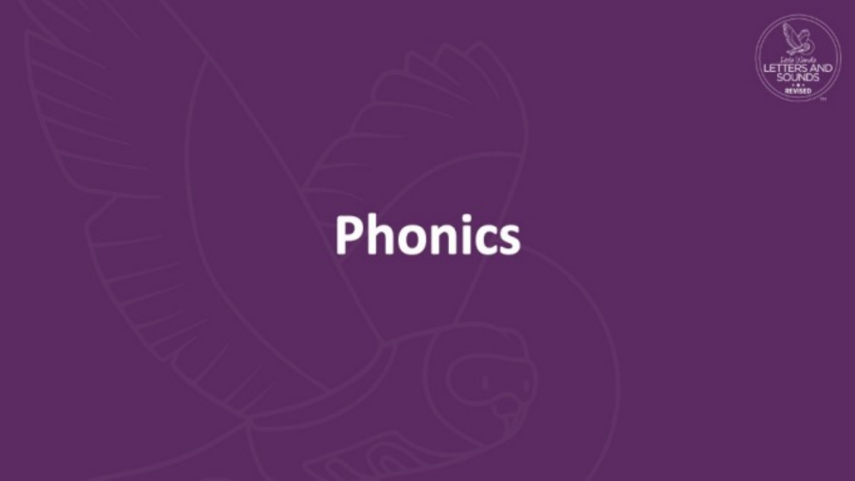

# **Phonics**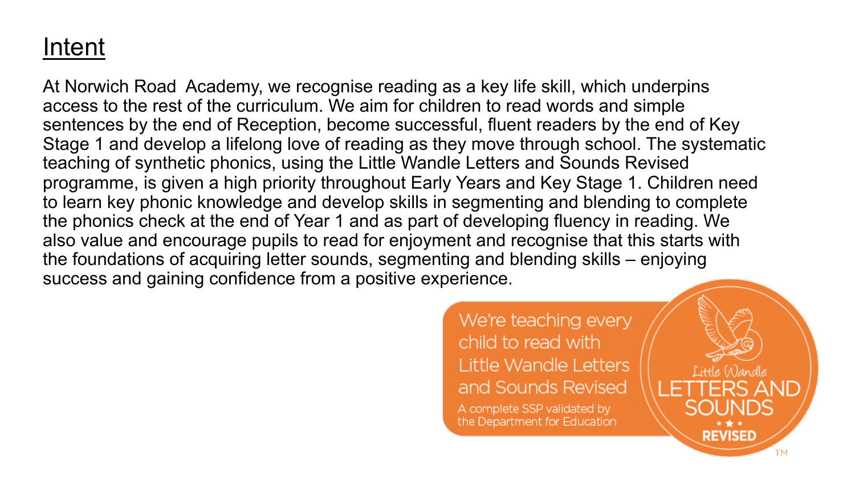#### Intent

At Norwich Road Academy, we recognise reading as a key life skill, which underpins access to the rest of the curriculum. We aim for children to read words and simple sentences by the end of Reception, become successful, fluent readers by the end of Key Stage 1 and develop a lifelong love of reading as they move through school. The systematic teaching of synthetic phonics, using the Little Wandle Letters and Sounds Revised programme, is given a high priority throughout Early Years and Key Stage 1. Children need to learn key phonic knowledge and develop skills in segmenting and blending to complete the phonics check at the end of Year 1 and as part of developing fluency in reading. We also value and encourage pupils to read for enjoyment and recognise that this starts with the foundations of acquiring letter sounds, segmenting and blending skills – enjoying success and gaining confidence from a positive experience.

> We're teaching every child to read with Little Wandle Letters and Sounds Revised A complete SSP validated by the Department for Education

Little Wandle

**REVISED**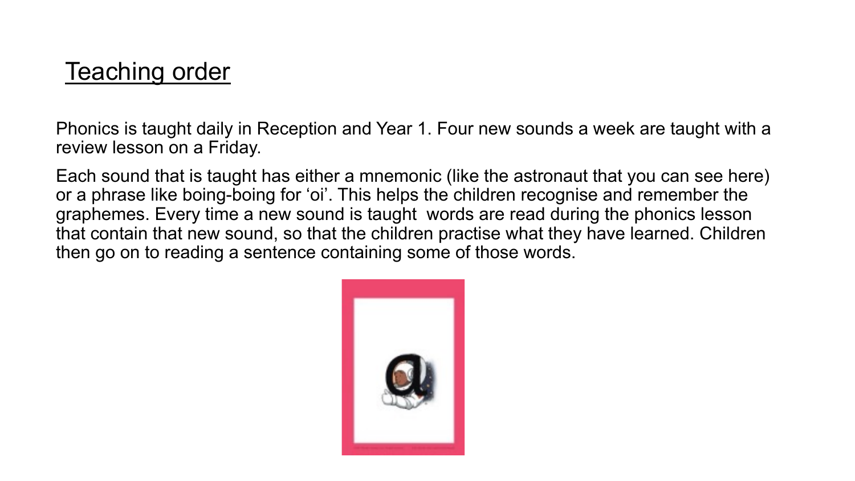#### Teaching order

Phonics is taught daily in Reception and Year 1. Four new sounds a week are taught with a review lesson on a Friday.

Each sound that is taught has either a mnemonic (like the astronaut that you can see here) or a phrase like boing-boing for 'oi'. This helps the children recognise and remember the graphemes. Every time a new sound is taught words are read during the phonics lesson that contain that new sound, so that the children practise what they have learned. Children then go on to reading a sentence containing some of those words.

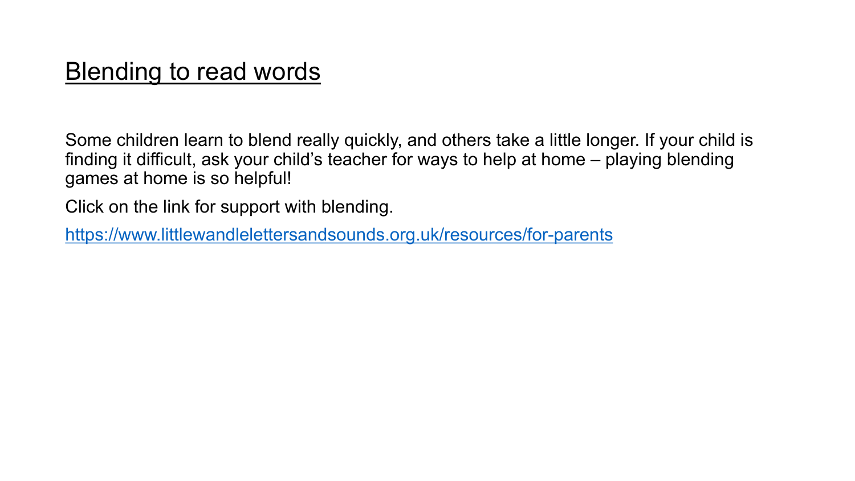#### **Blending to read words**

Some children learn to blend really quickly, and others take a finding it difficult, ask your child's teacher for ways to help at I games at home is so helpful!

Click on the link for support with blending.

https://www.littlewandlelettersandsounds.org.uk/resources/for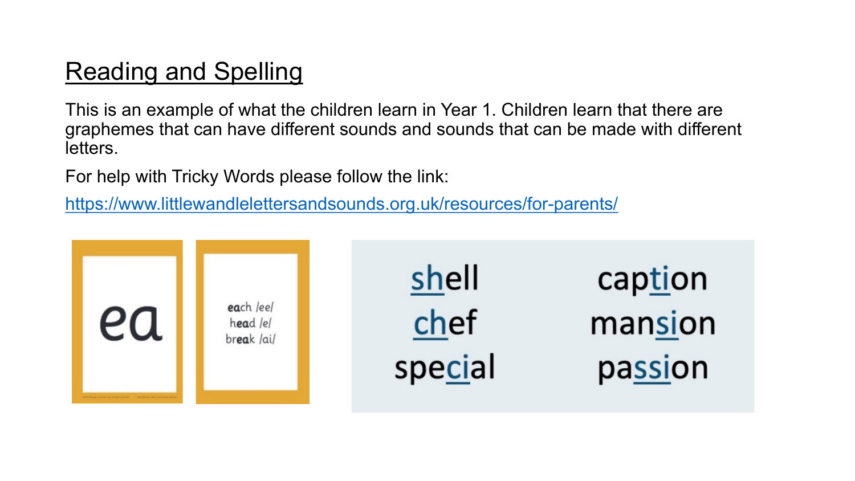### Reading and Spelling

This is an example of what the children learn in Year 1. Children graphemes that can have different sounds and sounds that can letters.

For help with Tricky Words please follow the link:

https://www.littlewandlelettersandsounds.org.uk/resources/for-

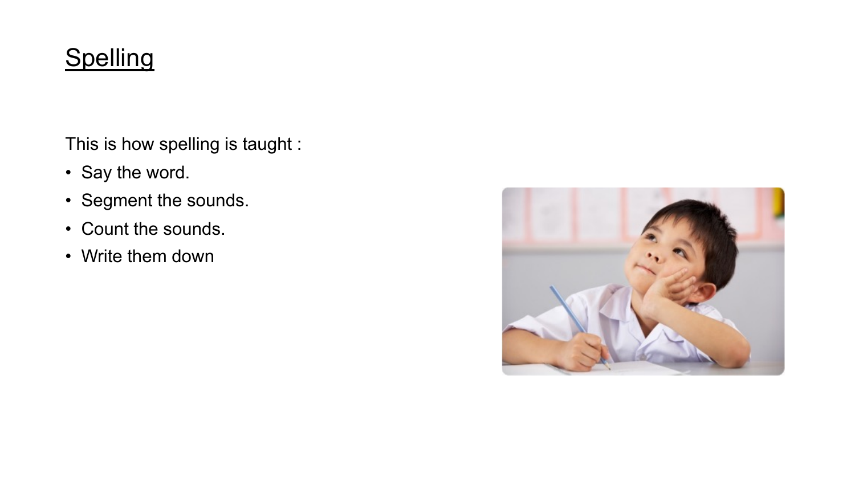#### **Spelling**

This is how spelling is taught :

- Say the word.
- Segment the sounds.
- Count the sounds.
- Write them down

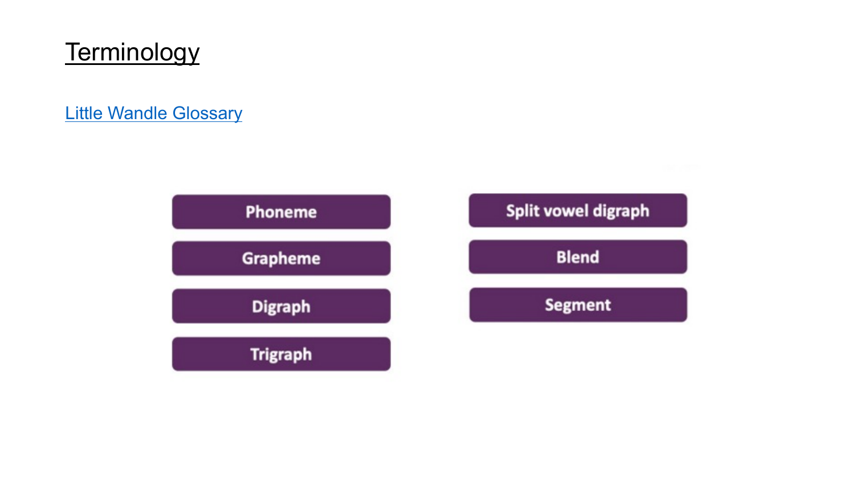#### **Terminology**

Little Wandle Glossary

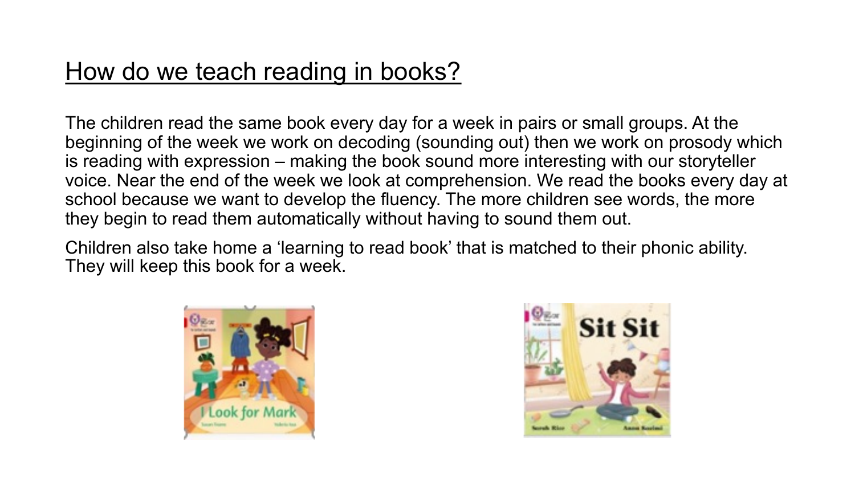#### How do we teach reading in books?

The children read the same book every day for a week in pairs or small groups. At the beginning of the week we work on decoding (sounding out) then we work on prosody which is reading with expression – making the book sound more interesting with our storyteller voice. Near the end of the week we look at comprehension. We read the books every day at school because we want to develop the fluency. The more children see words, the more they begin to read them automatically without having to sound them out.

Children also take home a 'learning to read book' that is matched to their phonic ability. They will keep this book for a week.



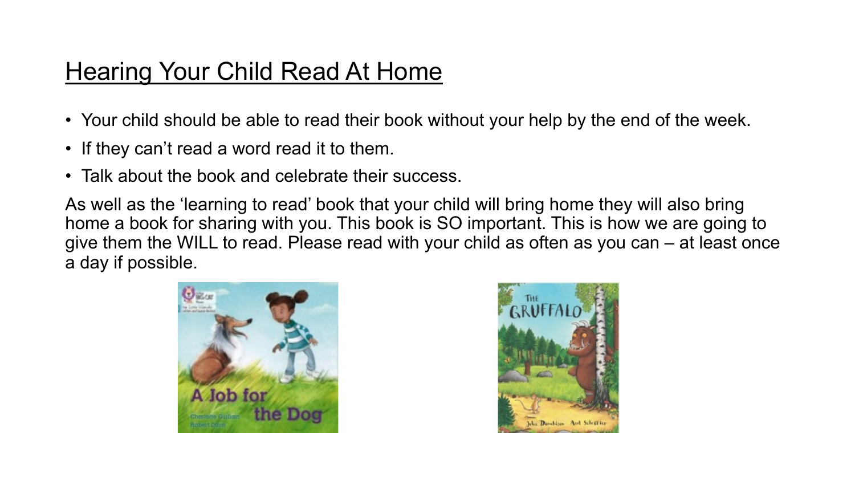#### Hearing Your Child Read At Home

- Your child should be able to read their book without your help by the end of the week.
- If they can't read a word read it to them.
- Talk about the book and celebrate their success.

As well as the 'learning to read' book that your child will bring home they will also bring home a book for sharing with you. This book is SO important. This is how we are going to give them the WILL to read. Please read with your child as often as you can – at least once a day if possible.



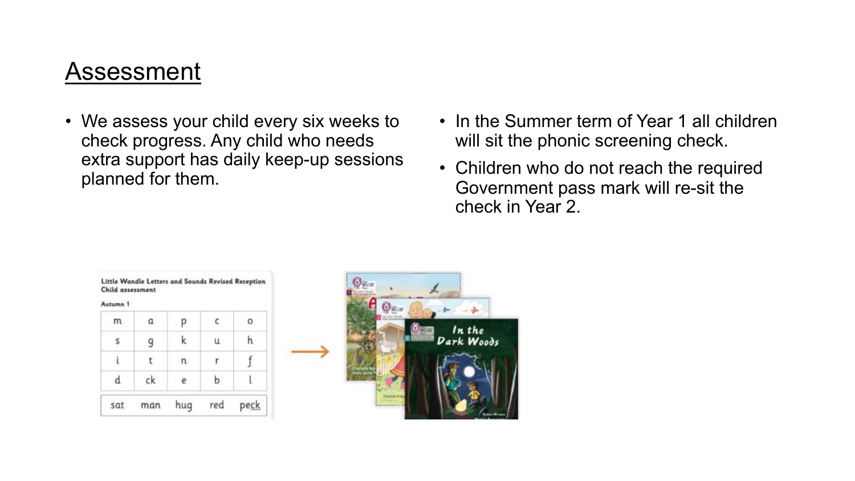#### Assessment

- We assess your child every six weeks to check progress. Any child who needs extra support has daily keep-up sessions planned for them.
- In the Summer term of Year 1 all children will sit the phonic screening check.
- Children who do not reach the required Government pass mark will re-sit the check in Year 2.

#### Little Wandle Letters and Sounds Revised Reception Child assessment